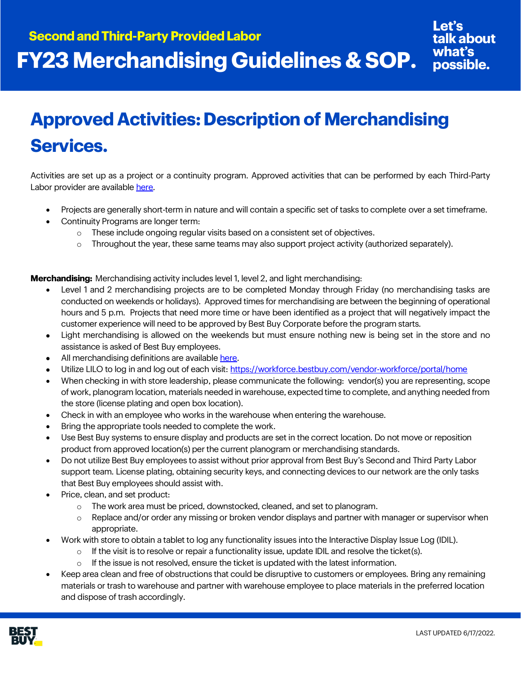## **Approved Activities: Description of Merchandising Services.**

Activities are set up as a project or a continuity program. Approved activities that can be performed by each Third-Party Labor provider are available [here.](https://partners.bestbuy.com/-/third-party-approved-providers-activities-contacts)

- Projects are generally short-term in nature and will contain a specific set of tasks to complete over a set timeframe.
- Continuity Programs are longer term:
	- $\circ$  These include ongoing regular visits based on a consistent set of objectives.
	- $\circ$  Throughout the year, these same teams may also support project activity (authorized separately).

**Merchandising:** Merchandising activity includes level 1, level 2, and light merchandising:

- Level 1 and 2 merchandising projects are to be completed Monday through Friday (no merchandising tasks are conducted on weekends or holidays). Approved times for merchandising are between the beginning of operational hours and 5 p.m. Projects that need more time or have been identified as a project that will negatively impact the customer experience will need to be approved by Best Buy Corporate before the program starts.
- Light merchandising is allowed on the weekends but must ensure nothing new is being set in the store and no assistance is asked of Best Buy employees.
- All merchandising definitions are availabl[e here.](https://partners.bestbuy.com/-/third-party-approved-providers-activities-contacts)
- Utilize LILO to log in and log out of each visit[: https://workforce.bestbuy.com/vendor-workforce/portal/home](https://workforce.bestbuy.com/vendor-workforce/portal/home)
- When checking in with store leadership, please communicate the following: vendor(s) you are representing, scope of work, planogram location, materials needed in warehouse, expected time to complete, and anything needed from the store (license plating and open box location).
- Check in with an employee who works in the warehouse when entering the warehouse.
- Bring the appropriate tools needed to complete the work.
- Use Best Buy systems to ensure display and products are set in the correct location. Do not move or reposition product from approved location(s) per the current planogram or merchandising standards.
- Do not utilize Best Buy employees to assist without prior approval from Best Buy's Second and Third Party Labor support team. License plating, obtaining security keys, and connecting devices to our network are the only tasks that Best Buy employees should assist with.
- Price, clean, and set product:
	- o The work area must be priced, downstocked, cleaned, and set to planogram.
	- $\circ$  Replace and/or order any missing or broken vendor displays and partner with manager or supervisor when appropriate.
- Work with store to obtain a tablet to log any functionality issues into the Interactive Display Issue Log (IDIL).
	- $\circ$  If the visit is to resolve or repair a functionality issue, update IDIL and resolve the ticket(s).
	- If the issue is not resolved, ensure the ticket is updated with the latest information.
- Keep area clean and free of obstructions that could be disruptive to customers or employees. Bring any remaining materials or trash to warehouse and partner with warehouse employee to place materials in the preferred location and dispose of trash accordingly.